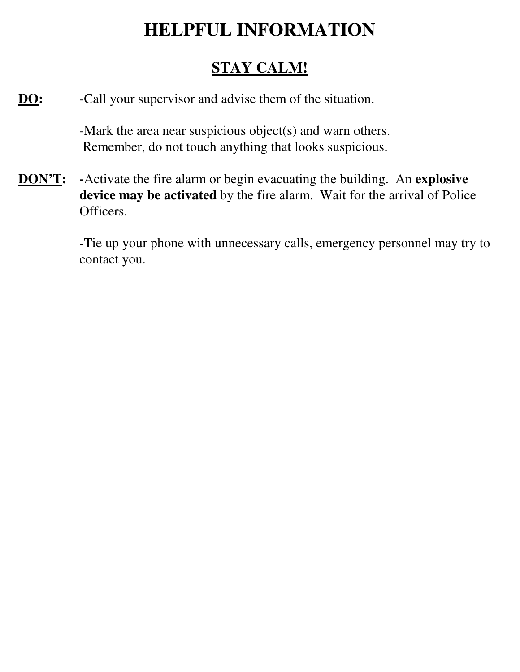## **HELPFUL INFORMATION**

## **STAY CALM!**

**DO:** -Call your supervisor and advise them of the situation.

 -Mark the area near suspicious object(s) and warn others. Remember, do not touch anything that looks suspicious.

**DON'T: -**Activate the fire alarm or begin evacuating the building. An **explosive device may be activated** by the fire alarm. Wait for the arrival of Police Officers.

> -Tie up your phone with unnecessary calls, emergency personnel may try to contact you.